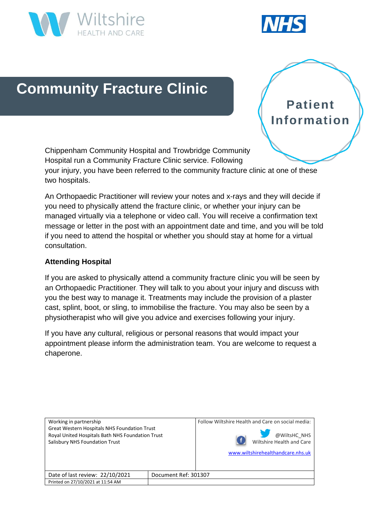



# **Community Fracture Clinic**

**Patient Information** 

Chippenham Community Hospital and Trowbridge Community Hospital run a Community Fracture Clinic service. Following your injury, you have been referred to the community fracture clinic at one of these two hospitals.

An Orthopaedic Practitioner will review your notes and x-rays and they will decide if you need to physically attend the fracture clinic, or whether your injury can be managed virtually via a telephone or video call. You will receive a confirmation text message or letter in the post with an appointment date and time, and you will be told if you need to attend the hospital or whether you should stay at home for a virtual consultation.

## **Attending Hospital**

If you are asked to physically attend a community fracture clinic you will be seen by an Orthopaedic Practitioner. They will talk to you about your injury and discuss with you the best way to manage it. Treatments may include the provision of a plaster cast, splint, boot, or sling, to immobilise the fracture. You may also be seen by a physiotherapist who will give you advice and exercises following your injury.

If you have any cultural, religious or personal reasons that would impact your appointment please inform the administration team. You are welcome to request a chaperone.

| Working in partnership<br><b>Great Western Hospitals NHS Foundation Trust</b><br>Royal United Hospitals Bath NHS Foundation Trust<br>Salisbury NHS Foundation Trust |                      | Follow Wiltshire Health and Care on social media: |
|---------------------------------------------------------------------------------------------------------------------------------------------------------------------|----------------------|---------------------------------------------------|
|                                                                                                                                                                     |                      | @WiltsHC NHS<br>Wiltshire Health and Care         |
|                                                                                                                                                                     |                      |                                                   |
|                                                                                                                                                                     |                      | www.wiltshirehealthandcare.nhs.uk                 |
|                                                                                                                                                                     |                      |                                                   |
|                                                                                                                                                                     |                      |                                                   |
| Date of last review: 22/10/2021                                                                                                                                     | Document Ref: 301307 |                                                   |
| Printed on 27/10/2021 at 11:54 AM                                                                                                                                   |                      |                                                   |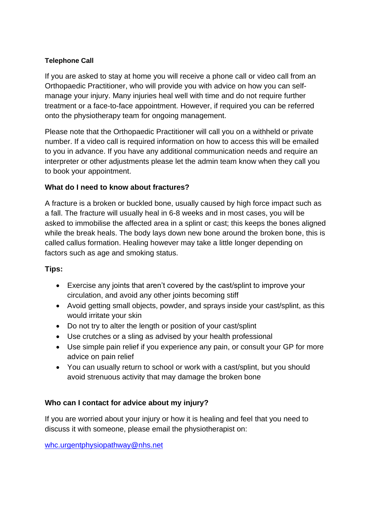## **Telephone Call**

If you are asked to stay at home you will receive a phone call or video call from an Orthopaedic Practitioner, who will provide you with advice on how you can selfmanage your injury. Many injuries heal well with time and do not require further treatment or a face-to-face appointment. However, if required you can be referred onto the physiotherapy team for ongoing management.

Please note that the Orthopaedic Practitioner will call you on a withheld or private number. If a video call is required information on how to access this will be emailed to you in advance. If you have any additional communication needs and require an interpreter or other adjustments please let the admin team know when they call you to book your appointment.

## **What do I need to know about fractures?**

A fracture is a broken or buckled bone, usually caused by high force impact such as a fall. The fracture will usually heal in 6-8 weeks and in most cases, you will be asked to immobilise the affected area in a splint or cast; this keeps the bones aligned while the break heals. The body lays down new bone around the broken bone, this is called callus formation. Healing however may take a little longer depending on factors such as age and smoking status.

## **Tips:**

- Exercise any joints that aren't covered by the cast/splint to improve your circulation, and avoid any other joints becoming stiff
- Avoid getting small objects, powder, and sprays inside your cast/splint, as this would irritate your skin
- Do not try to alter the length or position of your cast/splint
- Use crutches or a sling as advised by your health professional
- Use simple pain relief if you experience any pain, or consult your GP for more advice on pain relief
- You can usually return to school or work with a cast/splint, but you should avoid strenuous activity that may damage the broken bone

## **Who can I contact for advice about my injury?**

If you are worried about your injury or how it is healing and feel that you need to discuss it with someone, please email the physiotherapist on:

[whc.urgentphysiopathway@nhs.net](mailto:whc.urgentphysiopathway@nhs.net)